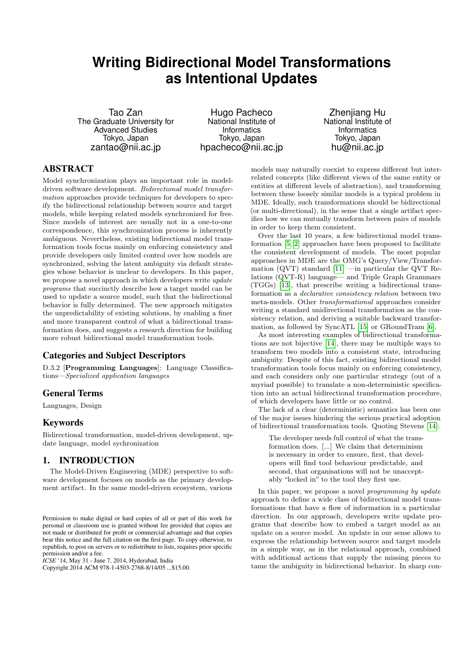# **Writing Bidirectional Model Transformations as Intentional Updates**

Tao Zan The Graduate University for Advanced Studies Tokyo, Japan zantao@nii.ac.jp

Hugo Pacheco National Institute of **Informatics** Tokyo, Japan hpacheco@nii.ac.jp

Zhenjiang Hu National Institute of Informatics Tokyo, Japan hu@nii.ac.jp

# ABSTRACT

Model synchronization plays an important role in modeldriven software development. Bidirectional model transformation approaches provide techniques for developers to specify the bidirectional relationship between source and target models, while keeping related models synchronized for free. Since models of interest are usually not in a one-to-one correspondence, this synchronization process is inherently ambiguous. Nevertheless, existing bidirectional model transformation tools focus mainly on enforcing consistency and provide developers only limited control over how models are synchronized, solving the latent ambiguity via default strategies whose behavior is unclear to developers. In this paper, we propose a novel approach in which developers write update programs that succinctly describe how a target model can be used to update a source model, such that the bidirectional behavior is fully determined. The new approach mitigates the unpredictability of existing solutions, by enabling a finer and more transparent control of what a bidirectional transformation does, and suggests a research direction for building more robust bidirectional model transformation tools.

## Categories and Subject Descriptors

D.3.2 [Programming Languages]: Language Classifications—Specialized application languages

## General Terms

Languages, Design

## Keywords

Bidirectional transformation, model-driven development, update language, model sychronization

## 1. INTRODUCTION

The Model-Driven Engineering (MDE) perspective to software development focuses on models as the primary development artifact. In the same model-driven ecosystem, various

*ICSE* '14, May 31 - June 7, 2014, Hyderabad, India

Copyright 2014 ACM 978-1-4503-2768-8/14/05 ...\$15.00.

models may naturally coexist to express different but interrelated concepts (like different views of the same entity or entities at different levels of abstraction), and transforming between these loosely similar models is a typical problem in MDE. Ideally, such transformations should be bidirectional (or multi-directional), in the sense that a single artifact specifies how we can mutually transform between pairs of models in order to keep them consistent.

Over the last 10 years, a few bidirectional model transformation [\[5,](#page-3-0) [2\]](#page-3-1) approaches have been proposed to facilitate the consistent development of models. The most popular approaches in MDE are the OMG's Query/View/Transformation (QVT) standard  $[11]$  —in particular the QVT Relations (QVT-R) language— and Triple Graph Grammars (TGGs) [\[13\]](#page-3-3), that prescribe writing a bidirectional transformation as a declarative consistency relation between two meta-models. Other transformational approaches consider writing a standard unidirectional transformation as the consistency relation, and deriving a suitable backward transformation, as followed by SyncATL [\[15\]](#page-3-4) or GRoundTram [\[6\]](#page-3-5).

As most interesting examples of bidirectional transformations are not bijective [\[14\]](#page-3-6), there may be multiple ways to transform two models into a consistent state, introducing ambiguity. Despite of this fact, existing bidirectional model transformation tools focus mainly on enforcing consistency, and each considers only one particular strategy (out of a myriad possible) to translate a non-deterministic specification into an actual bidirectional transformation procedure, of which developers have little or no control.

The lack of a clear (deterministic) semantics has been one of the major issues hindering the serious practical adoption of bidirectional transformation tools. Quoting Stevens [\[14\]](#page-3-6):

The developer needs full control of what the transformation does. [...] We claim that determinism is necessary in order to ensure, first, that developers will find tool behaviour predictable, and second, that organisations will not be unacceptably "locked in" to the tool they first use.

In this paper, we propose a novel *programming by update* approach to define a wide class of bidirectional model transformations that have a flow of information in a particular direction. In our approach, developers write update programs that describe how to embed a target model as an update on a source model. An update in our sense allows to express the relationship between source and target models in a simple way, as in the relational approach, combined with additional actions that supply the missing pieces to tame the ambiguity in bidirectional behavior. In sharp con-

Permission to make digital or hard copies of all or part of this work for personal or classroom use is granted without fee provided that copies are not made or distributed for profit or commercial advantage and that copies bear this notice and the full citation on the first page. To copy otherwise, to republish, to post on servers or to redistribute to lists, requires prior specific permission and/or a fee.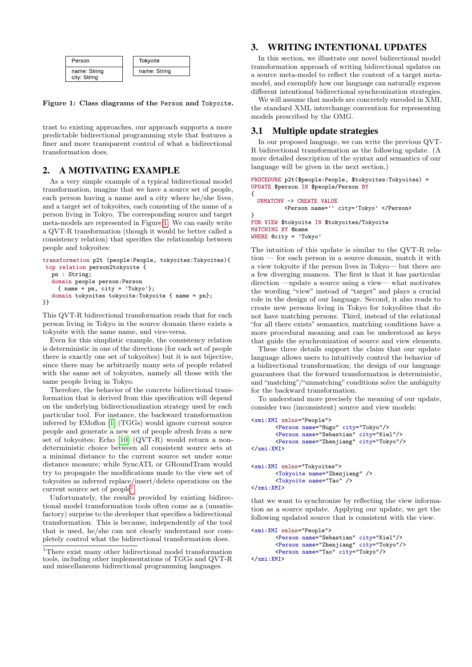

<span id="page-1-0"></span>Figure 1: Class diagrams of the Person and Tokyoite.

trast to existing approaches, our approach supports a more predictable bidirectional programming style that features a finer and more transparent control of what a bidirectional transformation does.

## 2. A MOTIVATING EXAMPLE

As a very simple example of a typical bidirectional model transformation, imagine that we have a source set of people, each person having a name and a city where he/she lives, and a target set of tokyoites, each consisting of the name of a person living in Tokyo. The corresponding source and target meta-models are represented in Figure [1.](#page-1-0) We can easily write a QVT-R transformation (though it would be better called a consistency relation) that specifies the relationship between people and tokyoites:

```
transformation p2t (people:People, tokyoites:Tokyoites){
top relation person2tokyoite {
  pn : String;
  domain people person:Person
    { name = pn, city = 'Tokyo'};
  domain tokyoites tokyoite:Tokyoite { name = pn};
}}
```
This QVT-R bidirectional transformation reads that for each person living in Tokyo in the source domain there exists a tokyoite with the same name, and vice-versa.

Even for this simplistic example, the consistency relation is deterministic in one of the directions (for each set of people there is exactly one set of tokyoites) but it is not bijective, since there may be arbitrarily many sets of people related with the same set of tokyoites, namely all those with the same people living in Tokyo.

Therefore, the behavior of the concrete bidirectional transformation that is derived from this specification will depend on the underlying bidirectionalization strategy used by each particular tool. For instance, the backward transformation inferred by EMoflon [\[1\]](#page-3-7) (TGGs) would ignore current source people and generate a new set of people afresh from a new set of tokyoites; Echo [\[10\]](#page-3-8) (QVT-R) would return a nondeterministic choice between all consistent source sets at a minimal distance to the current source set under some distance measure; while SyncATL or GRoundTram would try to propagate the modifications made to the view set of tokyoites as inferred replace/insert/delete operations on the current source set of  $people<sup>1</sup>$  $people<sup>1</sup>$  $people<sup>1</sup>$ .

Unfortunately, the results provided by existing bidirectional model transformation tools often come as a (unsatisfactory) surprise to the developer that specifies a bidirectional transformation. This is because, independently of the tool that is used, he/she can not clearly understand nor completely control what the bidirectional transformation does.

## 3. WRITING INTENTIONAL UPDATES

In this section, we illustrate our novel bidirectional model transformation approach of writing bidirectional updates on a source meta-model to reflect the content of a target metamodel, and exemplify how our language can naturally express different intentional bidirectional synchronization strategies.

We will assume that models are concretely encoded in XMI, the standard XML interchange convention for representing models prescribed by the OMG.

## 3.1 Multiple update strategies

In our proposed language, we can write the previous QVT-R bidirectional transformation as the following update. (A more detailed description of the syntax and semantics of our language will be given in the next section.)

```
PROCEDURE p2t($people:People, $tokyoites:Tokyoites) =
UPDATE $person IN $people/Person BY
{
```

```
UNMATCHV -> CREATE VALUE
          <Person name='' city='Tokyo' </Person>
}
FOR VIEW $tokyoite IN $tokyoites/Tokyoite
```
MATCHING BY @name WHERE @city = 'Tokyo'

The intuition of this update is similar to the QVT-R relation — for each person in a source domain, match it with a view tokyoite if the person lives in Tokyo— but there are a few diverging nuances. The first is that it has particular direction —update a source using a view— what motivates the wording "view" instead of "target" and plays a crucial role in the design of our language. Second, it also reads to create new persons living in Tokyo for tokyolites that do not have matching persons. Third, instead of the relational "for all there exists" semantics, matching conditions have a more procedural meaning and can be understood as keys that guide the synchronization of source and view elements.

These three details support the claim that our update language allows users to intuitively control the behavior of a bidirectional transformation; the design of our language guarantees that the forward transformation is deterministic, and "matching"/"unmatching" conditions solve the ambiguity for the backward transformation.

To understand more precisely the meaning of our update, consider two (inconsistent) source and view models:

```
<xmi:XMI xmlns="People">
       <Person name="Hugo" city="Tokyo"/>
       <Person name="Sebastian" city="Kiel"/>
       <Person name="Zhenjiang" city="Tokyo"/>
</xmi:XMI>
<xmi:XMI xmlns="Tokyoites">
       <Tokyoite name="Zhenjiang" />
       <Tokyoite name="Tao" />
```

```
</xmi:XMI>
```
that we want to synchronize by reflecting the view information as a source update. Applying our update, we get the following updated source that is consistent with the view.

```
<xmi:XMI xmlns="People">
       <Person name="Sebastian" city="Kiel"/>
       <Person name="Zhenjiang" city="Tokyo"/>
       <Person name="Tao" city="Tokyo"/>
</xmi:XMI>
```
<span id="page-1-1"></span><sup>1</sup>There exist many other bidirectional model transformation tools, including other implementations of TGGs and QVT-R and miscellaneous bidirectional programming languages.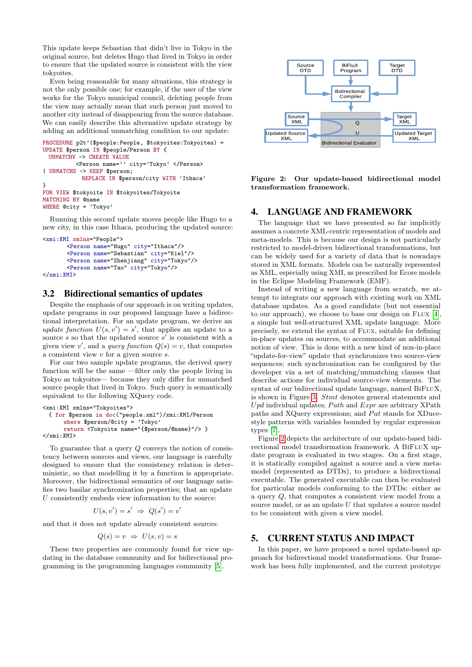This update keeps Sebastian that didn't live in Tokyo in the original source, but deletes Hugo that lived in Tokyo in order to ensure that the updated source is consistent with the view tokyoites.

Even being reasonable for many situations, this strategy is not the only possible one; for example, if the user of the view works for the Tokyo municipal council, deleting people from the view may actually mean that such person just moved to another city instead of disappearing from the source database. We can easily describe this alternative update strategy by adding an additional unmatching condition to our update:

```
PROCEDURE p2t'($people:People, $tokyoites:Tokyoites) =
UPDATE $person IN $people/Person BY {
 UNMATCHV -> CREATE VALUE
          <Person name='' city='Tokyo' </Person>
| UNMATCHS -> KEEP $person;
           REPLACE IN $person/city WITH 'Ithaca'
}
FOR VIEW $tokyoite IN $tokyoites/Tokyoite
MATCHING BY @name
WHERE @city = 'Tokyo'
```
Running this second update moves people like Hugo to a new city, in this case Ithaca, producing the updated source:

```
<xmi:XMI xmlns="People">
       <Person name="Hugo" city="Ithaca"/>
       <Person name="Sebastian" city="Kiel"/>
       <Person name="Zhenjiang" city="Tokyo"/>
       <Person name="Tao" city="Tokyo"/>
</xmi:XMI>
```
## 3.2 Bidirectional semantics of updates

Despite the emphasis of our approach is on writing updates, update programs in our proposed language have a bidirectional interpretation. For an update program, we derive an update function  $U(s, v') = s'$ , that applies an update to a source  $s$  so that the updated source  $s'$  is consistent with a given view v', and a *query function*  $Q(s) = v$ , that computes a consistent view v for a given source s.

For our two sample update programs, the derived query function will be the same —filter only the people living in Tokyo as tokyoites— because they only differ for unmatched source people that lived in Tokyo. Such query is semantically equivalent to the following XQuery code.

```
<xmi:XMI xmlns="Tokyoites">
 { for $person in doc("people.xml")/xmi:XMI/Person
      where $person/@city = 'Tokyo'
      return <Tokyoite name="{$person/@name}"/> }
</xmi:XMI>
```
To guarantee that a query Q conveys the notion of consistency between sources and views, our language is carefully designed to ensure that the consistency relation is deterministic, so that modelling it by a function is appropriate. Moreover, the bidirectional semantics of our language satisfies two basilar synchronization properties; that an update  $U$  consistently embeds view information to the source:

$$
U(s, v') = s' \Rightarrow Q(s') = v'
$$

and that it does not update already consistent sources:

$$
Q(s) = v \Rightarrow U(s, v) = s
$$

These two properties are commonly found for view updating in the database community and for bidirectional programming in the programming languages community [\[5\]](#page-3-0).



<span id="page-2-0"></span>Figure 2: Our update-based bidirectional model transformation framework.

## 4. LANGUAGE AND FRAMEWORK

The language that we have presented so far implicitly assumes a concrete XML-centric representation of models and meta-models. This is because our design is not particularly restricted to model-driven bidirectional transformations, but can be widely used for a variety of data that is nowadays stored in XML formats. Models can be naturally represented as XML, especially using XMI, as prescribed for Ecore models in the Eclipse Modeling Framework (EMF).

Instead of writing a new language from scratch, we attempt to integrate our approach with existing work on XML database updates. As a good candidate (but not essential to our approach), we choose to base our design on  $FLUX [4]$  $FLUX [4]$ , a simple but well-structured XML update language. More precisely, we extend the syntax of FLUX, suitable for defining in-place updates on sources, to accommodate an additional notion of view. This is done with a new kind of non-in-place "update-for-view" update that synchronizes two source-view sequences; such synchronization can be configured by the developer via a set of matching/unmatching clauses that describe actions for individual source-view elements. The syntax of our bidirectional update language, named BIFLUX, is shown in Figure [3:](#page-3-10) Stmt denotes general statements and U pd individual updates; Path and  $Expr$  are arbitrary XPath paths and XQuery expressions; and  $Pat$  stands for XDucestyle patterns with variables bounded by regular expression types [\[7\]](#page-3-11).

Figure [2](#page-2-0) depicts the architecture of our update-based bidirectional model transformation framework. A BiFluX update program is evaluated in two stages. On a first stage, it is statically compiled against a source and a view metamodel (represented as DTDs), to produce a bidirectional executable. The generated executable can then be evaluated for particular models conforming to the DTDs: either as a query Q, that computes a consistent view model from a source model, or as an update  $U$  that updates a source model to be consistent with given a view model.

## 5. CURRENT STATUS AND IMPACT

In this paper, we have proposed a novel update-based approach for bidirectional model transformations. Our framework has been fully implemented, and the current prototype